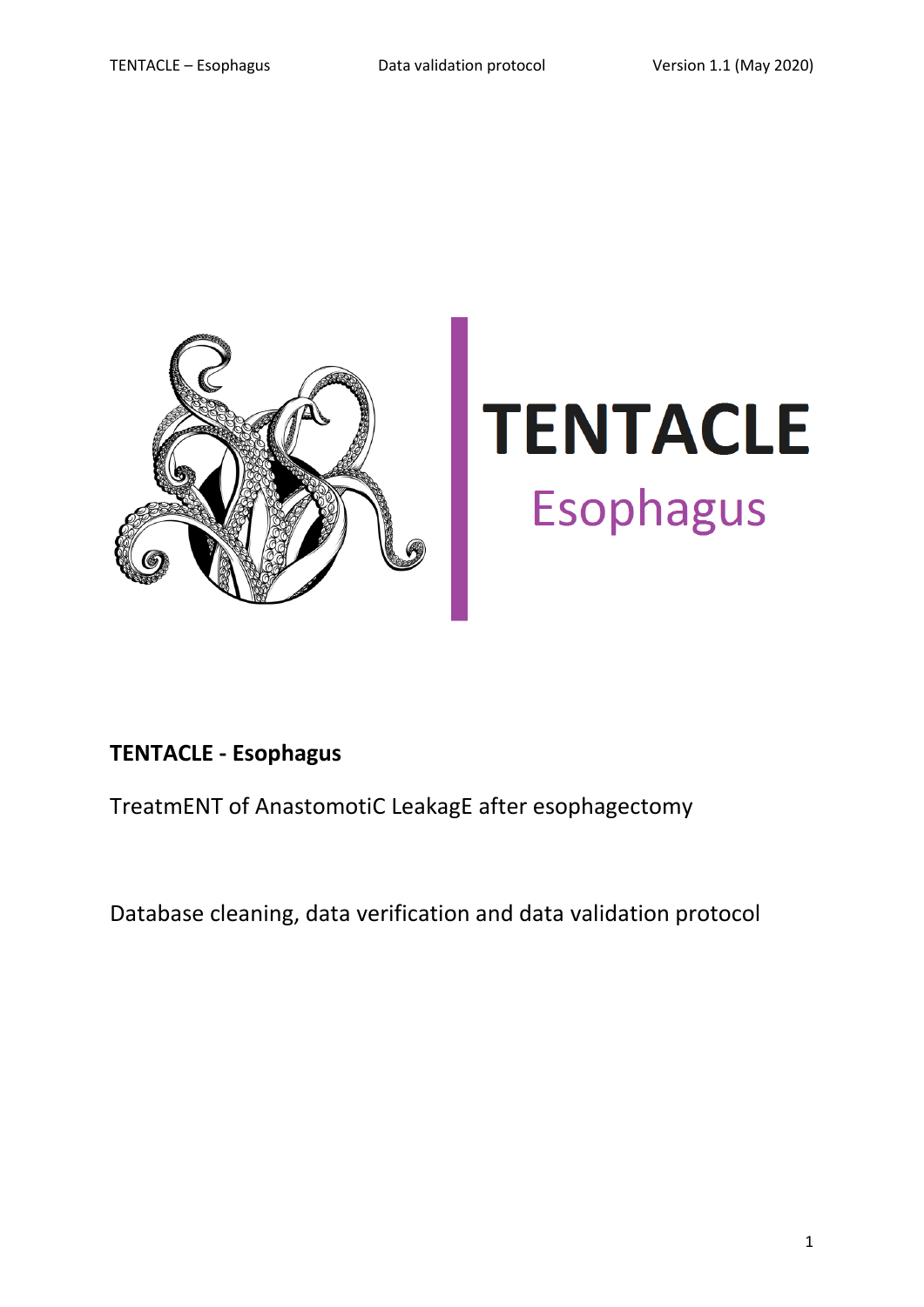

# **TENTACLE Esophagus**

# **TENTACLE - Esophagus**

TreatmENT of AnastomotiC LeakagE after esophagectomy

Database cleaning, data verification and data validation protocol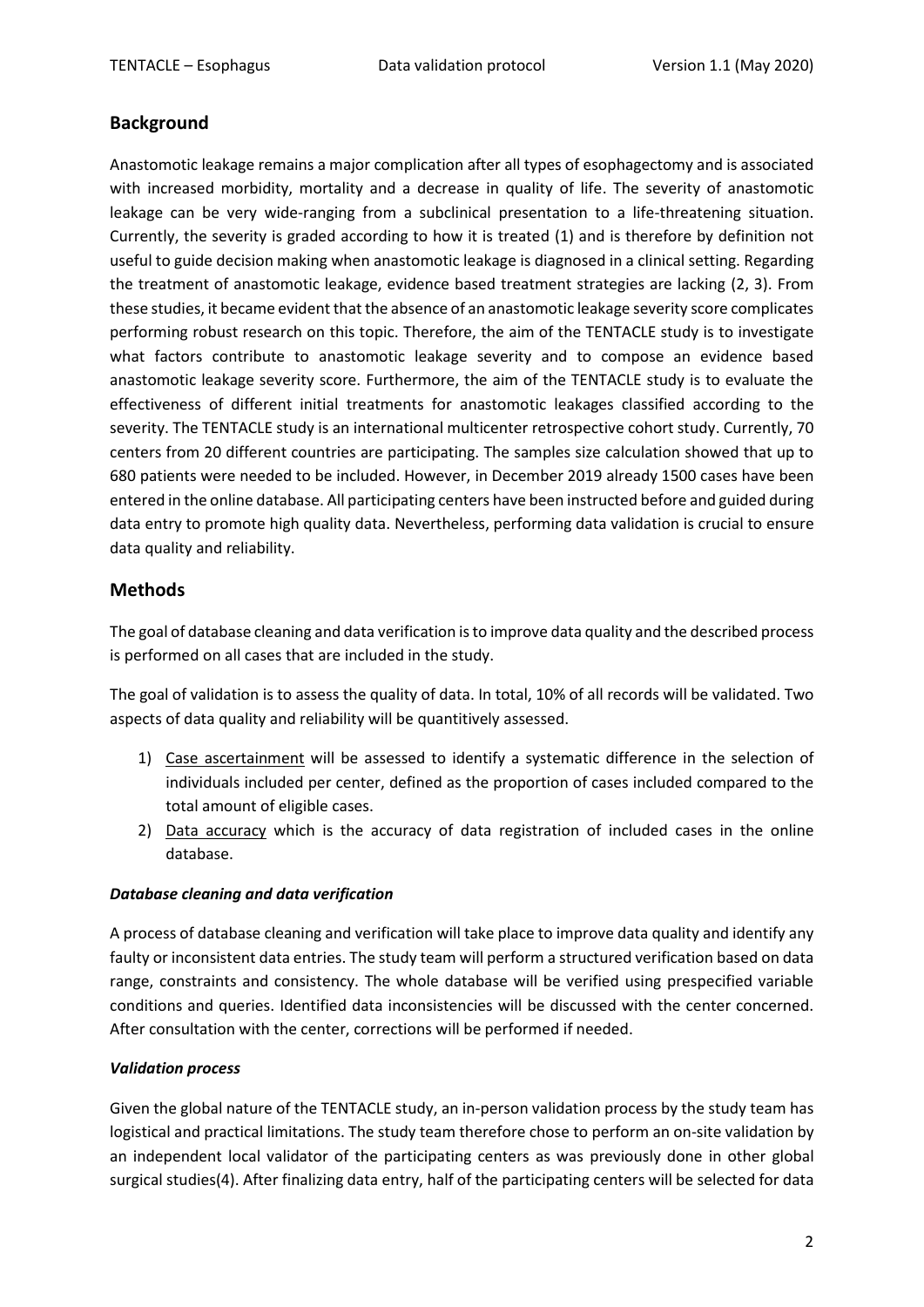# **Background**

Anastomotic leakage remains a major complication after all types of esophagectomy and is associated with increased morbidity, mortality and a decrease in quality of life. The severity of anastomotic leakage can be very wide-ranging from a subclinical presentation to a life-threatening situation. Currently, the severity is graded according to how it is treated (1) and is therefore by definition not useful to guide decision making when anastomotic leakage is diagnosed in a clinical setting. Regarding the treatment of anastomotic leakage, evidence based treatment strategies are lacking (2, 3). From these studies, it became evident that the absence of an anastomotic leakage severity score complicates performing robust research on this topic. Therefore, the aim of the TENTACLE study is to investigate what factors contribute to anastomotic leakage severity and to compose an evidence based anastomotic leakage severity score. Furthermore, the aim of the TENTACLE study is to evaluate the effectiveness of different initial treatments for anastomotic leakages classified according to the severity. The TENTACLE study is an international multicenter retrospective cohort study. Currently, 70 centers from 20 different countries are participating. The samples size calculation showed that up to 680 patients were needed to be included. However, in December 2019 already 1500 cases have been entered in the online database. All participating centers have been instructed before and guided during data entry to promote high quality data. Nevertheless, performing data validation is crucial to ensure data quality and reliability.

# **Methods**

The goal of database cleaning and data verification is to improve data quality and the described process is performed on all cases that are included in the study.

The goal of validation is to assess the quality of data. In total, 10% of all records will be validated. Two aspects of data quality and reliability will be quantitively assessed.

- 1) Case ascertainment will be assessed to identify a systematic difference in the selection of individuals included per center, defined as the proportion of cases included compared to the total amount of eligible cases.
- 2) Data accuracy which is the accuracy of data registration of included cases in the online database.

### *Database cleaning and data verification*

A process of database cleaning and verification will take place to improve data quality and identify any faulty or inconsistent data entries. The study team will perform a structured verification based on data range, constraints and consistency. The whole database will be verified using prespecified variable conditions and queries. Identified data inconsistencies will be discussed with the center concerned. After consultation with the center, corrections will be performed if needed.

#### *Validation process*

Given the global nature of the TENTACLE study, an in-person validation process by the study team has logistical and practical limitations. The study team therefore chose to perform an on-site validation by an independent local validator of the participating centers as was previously done in other global surgical studies(4). After finalizing data entry, half of the participating centers will be selected for data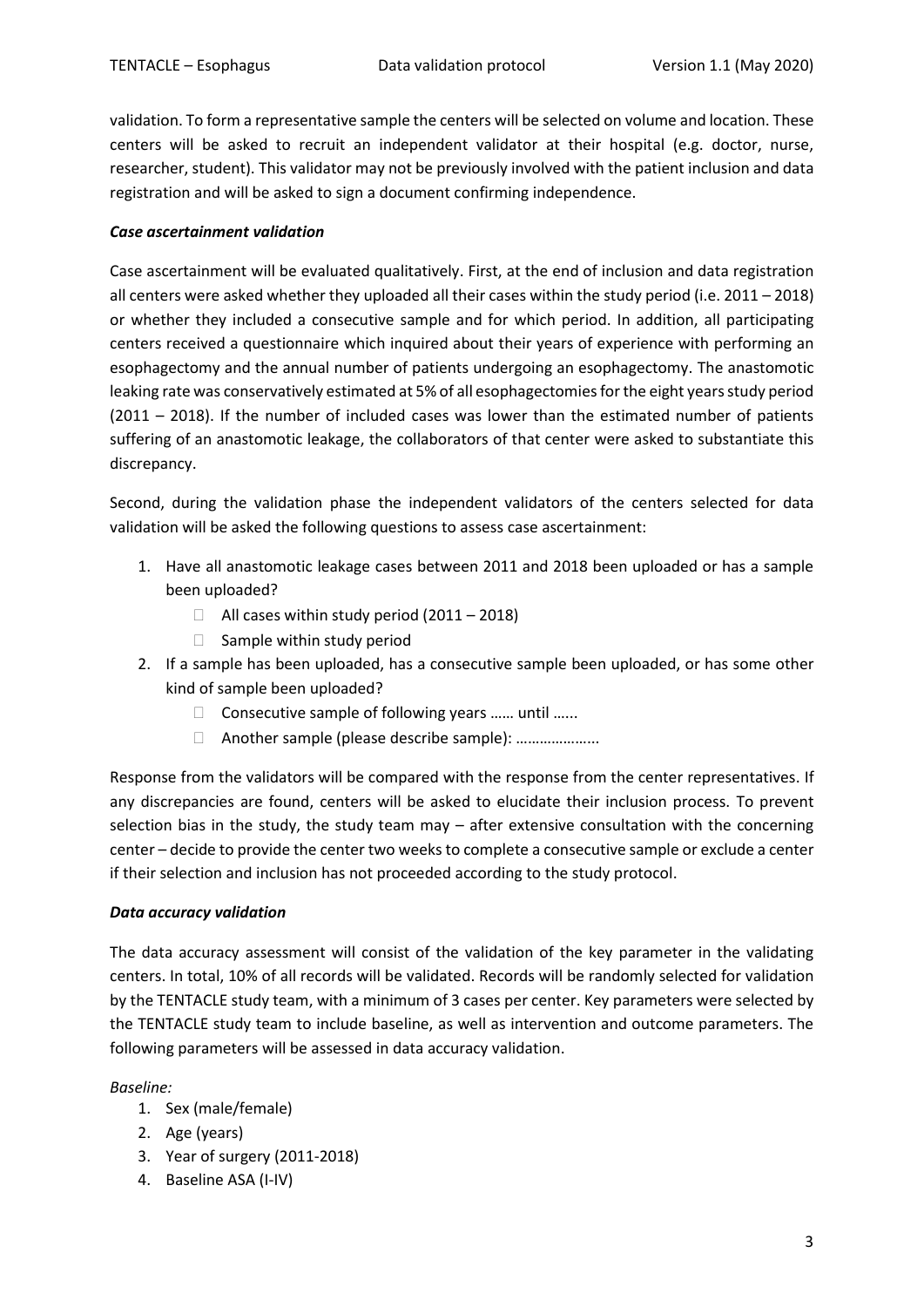validation. To form a representative sample the centers will be selected on volume and location. These centers will be asked to recruit an independent validator at their hospital (e.g. doctor, nurse, researcher, student). This validator may not be previously involved with the patient inclusion and data registration and will be asked to sign a document confirming independence.

#### *Case ascertainment validation*

Case ascertainment will be evaluated qualitatively. First, at the end of inclusion and data registration all centers were asked whether they uploaded all their cases within the study period (i.e. 2011 – 2018) or whether they included a consecutive sample and for which period. In addition, all participating centers received a questionnaire which inquired about their years of experience with performing an esophagectomy and the annual number of patients undergoing an esophagectomy. The anastomotic leaking rate was conservatively estimated at 5% of all esophagectomies for the eight years study period (2011 – 2018). If the number of included cases was lower than the estimated number of patients suffering of an anastomotic leakage, the collaborators of that center were asked to substantiate this discrepancy.

Second, during the validation phase the independent validators of the centers selected for data validation will be asked the following questions to assess case ascertainment:

- 1. Have all anastomotic leakage cases between 2011 and 2018 been uploaded or has a sample been uploaded?
	- $\Box$  All cases within study period (2011 2018)
	- $\Box$  Sample within study period
- 2. If a sample has been uploaded, has a consecutive sample been uploaded, or has some other kind of sample been uploaded?
	- $\Box$  Consecutive sample of following years ...... until ......
	- □ Another sample (please describe sample): …………………

Response from the validators will be compared with the response from the center representatives. If any discrepancies are found, centers will be asked to elucidate their inclusion process. To prevent selection bias in the study, the study team may – after extensive consultation with the concerning center – decide to provide the center two weeksto complete a consecutive sample or exclude a center if their selection and inclusion has not proceeded according to the study protocol.

### *Data accuracy validation*

The data accuracy assessment will consist of the validation of the key parameter in the validating centers. In total, 10% of all records will be validated. Records will be randomly selected for validation by the TENTACLE study team, with a minimum of 3 cases per center. Key parameters were selected by the TENTACLE study team to include baseline, as well as intervention and outcome parameters. The following parameters will be assessed in data accuracy validation.

#### *Baseline:*

- 1. Sex (male/female)
- 2. Age (years)
- 3. Year of surgery (2011-2018)
- 4. Baseline ASA (I-IV)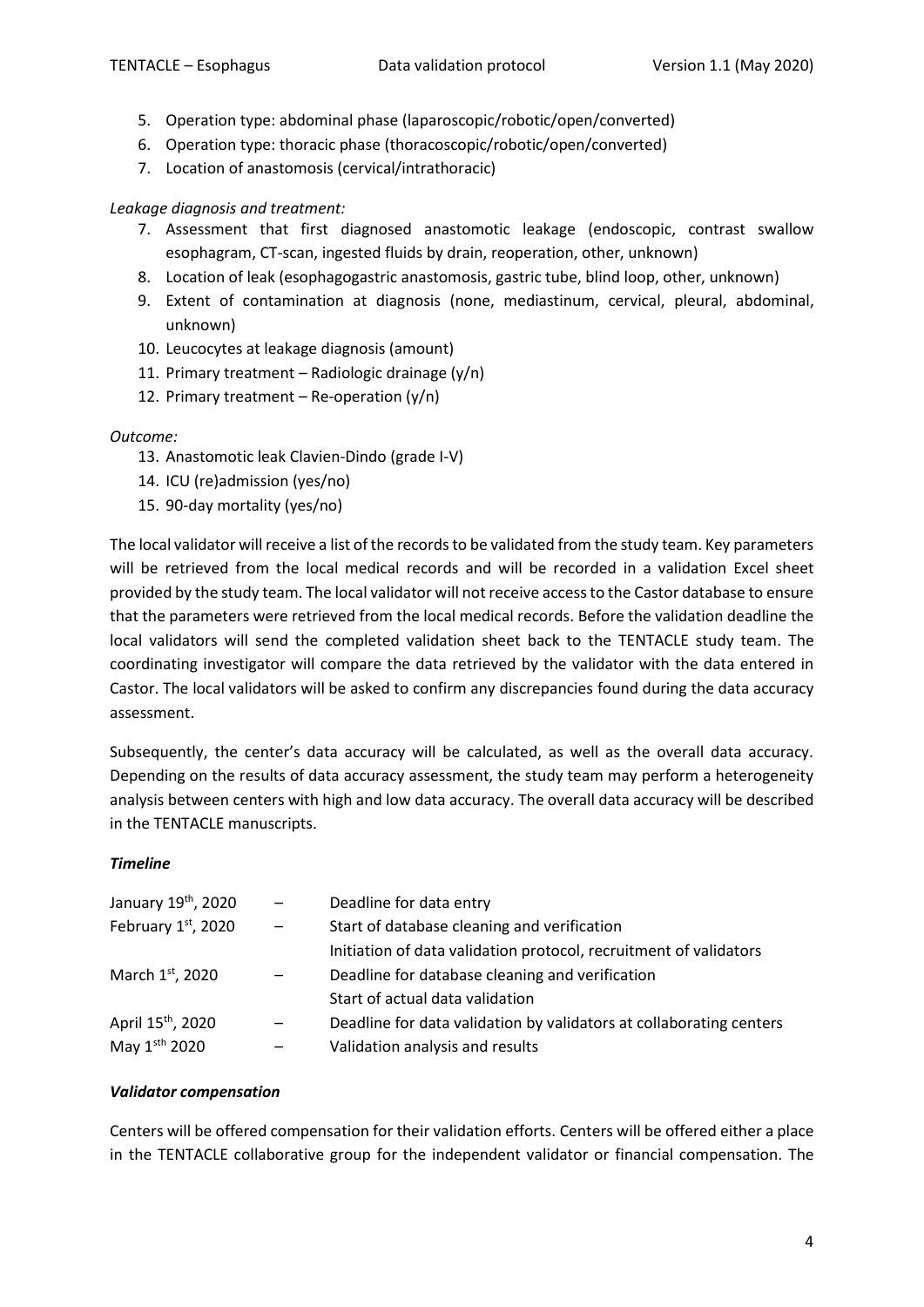- 5. Operation type: abdominal phase (laparoscopic/robotic/open/converted)
- 6. Operation type: thoracic phase (thoracoscopic/robotic/open/converted)
- 7. Location of anastomosis (cervical/intrathoracic)

## *Leakage diagnosis and treatment:*

- 7. Assessment that first diagnosed anastomotic leakage (endoscopic, contrast swallow esophagram, CT-scan, ingested fluids by drain, reoperation, other, unknown)
- 8. Location of leak (esophagogastric anastomosis, gastric tube, blind loop, other, unknown)
- 9. Extent of contamination at diagnosis (none, mediastinum, cervical, pleural, abdominal, unknown)
- 10. Leucocytes at leakage diagnosis (amount)
- 11. Primary treatment Radiologic drainage  $(y/n)$
- 12. Primary treatment  $-$  Re-operation (y/n)

### *Outcome:*

- 13. Anastomotic leak Clavien-Dindo (grade I-V)
- 14. ICU (re)admission (yes/no)
- 15. 90-day mortality (yes/no)

The local validator will receive a list of the records to be validated from the study team. Key parameters will be retrieved from the local medical records and will be recorded in a validation Excel sheet provided by the study team. The local validator will not receive access to the Castor database to ensure that the parameters were retrieved from the local medical records. Before the validation deadline the local validators will send the completed validation sheet back to the TENTACLE study team. The coordinating investigator will compare the data retrieved by the validator with the data entered in Castor. The local validators will be asked to confirm any discrepancies found during the data accuracy assessment.

Subsequently, the center's data accuracy will be calculated, as well as the overall data accuracy. Depending on the results of data accuracy assessment, the study team may perform a heterogeneity analysis between centers with high and low data accuracy. The overall data accuracy will be described in the TENTACLE manuscripts.

#### *Timeline*

| January 19 <sup>th</sup> , 2020 | $-$                      | Deadline for data entry                                             |
|---------------------------------|--------------------------|---------------------------------------------------------------------|
| February $1st$ , 2020           | $\overline{\phantom{m}}$ | Start of database cleaning and verification                         |
|                                 |                          | Initiation of data validation protocol, recruitment of validators   |
| March 1 <sup>st</sup> , 2020    |                          | Deadline for database cleaning and verification                     |
|                                 |                          | Start of actual data validation                                     |
| April 15 <sup>th</sup> , 2020   |                          | Deadline for data validation by validators at collaborating centers |
| May 1sth 2020                   |                          | Validation analysis and results                                     |

### *Validator compensation*

Centers will be offered compensation for their validation efforts. Centers will be offered either a place in the TENTACLE collaborative group for the independent validator or financial compensation. The